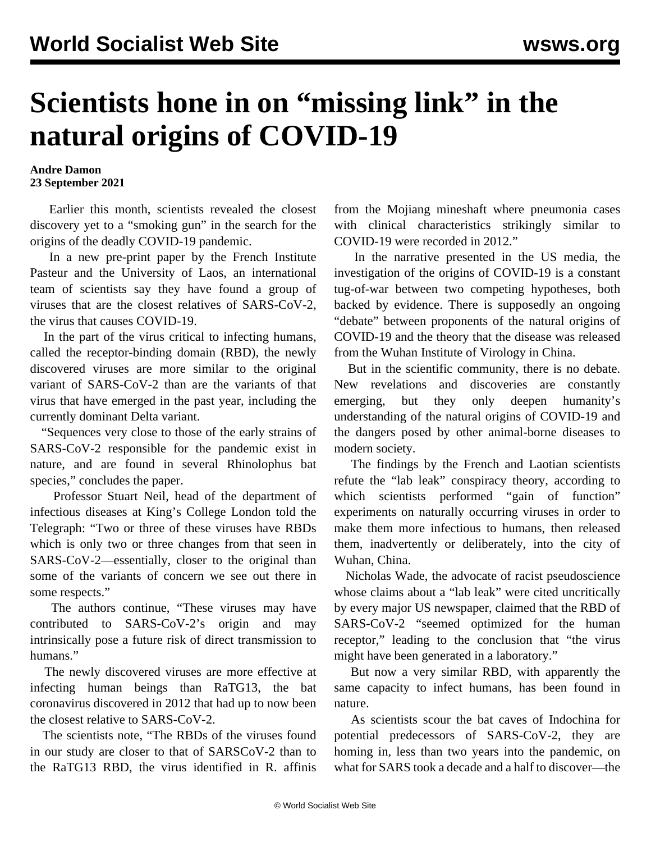## **Scientists hone in on "missing link" in the natural origins of COVID-19**

## **Andre Damon 23 September 2021**

 Earlier this month, scientists revealed the closest discovery yet to a "smoking gun" in the search for the origins of the deadly COVID-19 pandemic.

 In a new pre-print paper by the French Institute Pasteur and the University of Laos, an international team of scientists say they have found a group of viruses that are the closest relatives of SARS-CoV-2, the virus that causes COVID-19.

 In the part of the virus critical to infecting humans, called the receptor-binding domain (RBD), the newly discovered viruses are more similar to the original variant of SARS-CoV-2 than are the variants of that virus that have emerged in the past year, including the currently dominant Delta variant.

 "Sequences very close to those of the early strains of SARS-CoV-2 responsible for the pandemic exist in nature, and are found in several Rhinolophus bat species," concludes the paper.

 Professor Stuart Neil, head of the department of infectious diseases at King's College London told the [Telegraph:](https://www.telegraph.co.uk/global-health/science-and-disease/virus-hunters-identify-closest-relative-yet-sars-cov-2-laos/) "Two or three of these viruses have RBDs which is only two or three changes from that seen in SARS-CoV-2—essentially, closer to the original than some of the variants of concern we see out there in some respects."

 The authors continue, "These viruses may have contributed to SARS-CoV-2's origin and may intrinsically pose a future risk of direct transmission to humans."

 The newly discovered viruses are more effective at infecting human beings than RaTG13, the bat coronavirus discovered in 2012 that had up to now been the closest relative to SARS-CoV-2.

 The scientists note, "The RBDs of the viruses found in our study are closer to that of SARSCoV-2 than to the RaTG13 RBD, the virus identified in R. affinis from the Mojiang mineshaft where pneumonia cases with clinical characteristics strikingly similar to COVID-19 were recorded in 2012."

 In the narrative presented in the US media, the investigation of the origins of COVID-19 is a constant tug-of-war between two competing hypotheses, both backed by evidence. There is supposedly an ongoing "debate" between proponents of the natural origins of COVID-19 and the theory that the disease was released from the Wuhan Institute of Virology in China.

 But in the scientific community, there is no debate. New revelations and discoveries are constantly emerging, but they only deepen humanity's understanding of the natural origins of COVID-19 and the dangers posed by other animal-borne diseases to modern society.

 The findings by the French and Laotian scientists refute the "lab leak" conspiracy theory, according to which scientists performed "gain of function" experiments on naturally occurring viruses in order to make them more infectious to humans, then released them, inadvertently or deliberately, into the city of Wuhan, China.

 Nicholas Wade, the advocate of racist pseudoscience whose claims about a "lab leak" were cited uncritically by every major US newspaper, claimed that the RBD of SARS-CoV-2 "seemed optimized for the human receptor," leading to the conclusion that "the virus might have been generated in a laboratory."

 But now a very similar RBD, with apparently the same capacity to infect humans, has been found in nature.

 As scientists scour the bat caves of Indochina for potential predecessors of SARS-CoV-2, they are homing in, less than two years into the pandemic, on what for SARS took a decade and a half to discover—the